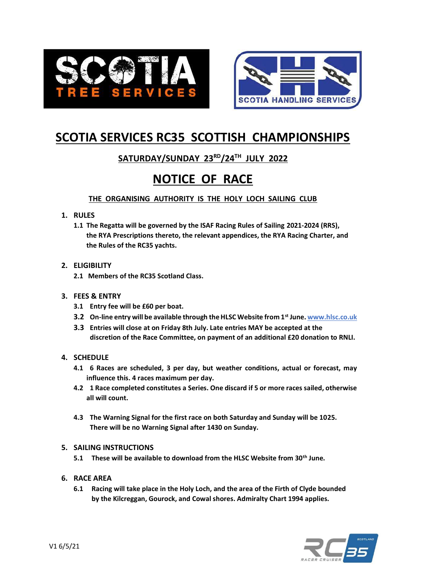



# **SCOTIA SERVICES RC35 SCOTTISH CHAMPIONSHIPS**

# **SATURDAY/SUNDAY 23RD/24TH JULY 2022**

# **NOTICE OF RACE**

**THE ORGANISING AUTHORITY IS THE HOLY LOCH SAILING CLUB**

## **1. RULES**

**1.1 The Regatta will be governed by the ISAF Racing Rules of Sailing 2021-2024 (RRS), the RYA Prescriptions thereto, the relevant appendices, the RYA Racing Charter, and the Rules of the RC35 yachts.**

# **2. ELIGIBILITY**

**2.1 Members of the RC35 Scotland Class.**

### **3. FEES & ENTRY**

- **3.1 Entry fee will be £60 per boat.**
- **3.2 On-line entry will be available through the HLSC Website from 1st June. www.hlsc.co.uk**
- **3.3 Entries will close at on Friday 8th July. Late entries MAY be accepted at the discretion of the Race Committee, on payment of an additional £20 donation to RNLI.**

# **4. SCHEDULE**

- **4.1 6 Races are scheduled, 3 per day, but weather conditions, actual or forecast, may influence this. 4 races maximum per day.**
- **4.2 1 Race completed constitutes a Series. One discard if 5 or more races sailed, otherwise all will count.**
- **4.3 The Warning Signal for the first race on both Saturday and Sunday will be 1025. There will be no Warning Signal after 1430 on Sunday.**

# **5. SAILING INSTRUCTIONS**

**5.1 These will be available to download from the HLSC Website from 30th June.**

### **6. RACE AREA**

**6.1 Racing will take place in the Holy Loch, and the area of the Firth of Clyde bounded by the Kilcreggan, Gourock, and Cowal shores. Admiralty Chart 1994 applies.**

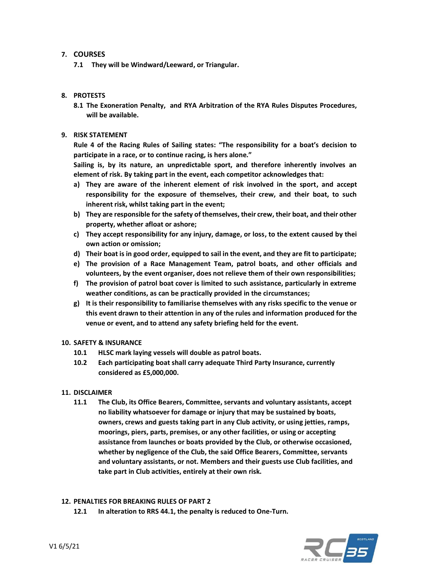#### **7. COURSES**

**7.1 They will be Windward/Leeward, or Triangular.**

#### **8. PROTESTS**

**8.1 The Exoneration Penalty, and RYA Arbitration of the RYA Rules Disputes Procedures, will be available.**

#### **9. RISK STATEMENT**

**Rule 4 of the Racing Rules of Sailing states: "The responsibility for a boat's decision to participate in a race, or to continue racing, is hers alone."**

**Sailing is, by its nature, an unpredictable sport, and therefore inherently involves an element of risk. By taking part in the event, each competitor acknowledges that:**

- **a) They are aware of the inherent element of risk involved in the sport, and accept responsibility for the exposure of themselves, their crew, and their boat, to such inherent risk, whilst taking part in the event;**
- **b) They are responsible for the safety of themselves, their crew, their boat, and their other property, whether afloat or ashore;**
- **c) They accept responsibility for any injury, damage, or loss, to the extent caused by thei own action or omission;**
- **d) Their boat is in good order, equipped to sail in the event, and they are fit to participate;**
- **e) The provision of a Race Management Team, patrol boats, and other officials and volunteers, by the event organiser, does not relieve them of their own responsibilities;**
- **f) The provision of patrol boat cover is limited to such assistance, particularly in extreme weather conditions, as can be practically provided in the circumstances;**
- **g) It is their responsibility to familiarise themselves with any risks specific to the venue or this event drawn to their attention in any of the rules and information produced for the venue or event, and to attend any safety briefing held for the event.**

#### **10. SAFETY & INSURANCE**

- **10.1 HLSC mark laying vessels will double as patrol boats.**
- **10.2 Each participating boat shall carry adequate Third Party Insurance, currently considered as £5,000,000.**

#### **11. DISCLAIMER**

**11.1 The Club, its Office Bearers, Committee, servants and voluntary assistants, accept no liability whatsoever for damage or injury that may be sustained by boats, owners, crews and guests taking part in any Club activity, or using jetties, ramps, moorings, piers, parts, premises, or any other facilities, or using or accepting assistance from launches or boats provided by the Club, or otherwise occasioned, whether by negligence of the Club, the said Office Bearers, Committee, servants and voluntary assistants, or not. Members and their guests use Club facilities, and take part in Club activities, entirely at their own risk.**

#### **12. PENALTIES FOR BREAKING RULES OF PART 2**

**12.1 In alteration to RRS 44.1, the penalty is reduced to One-Turn.**